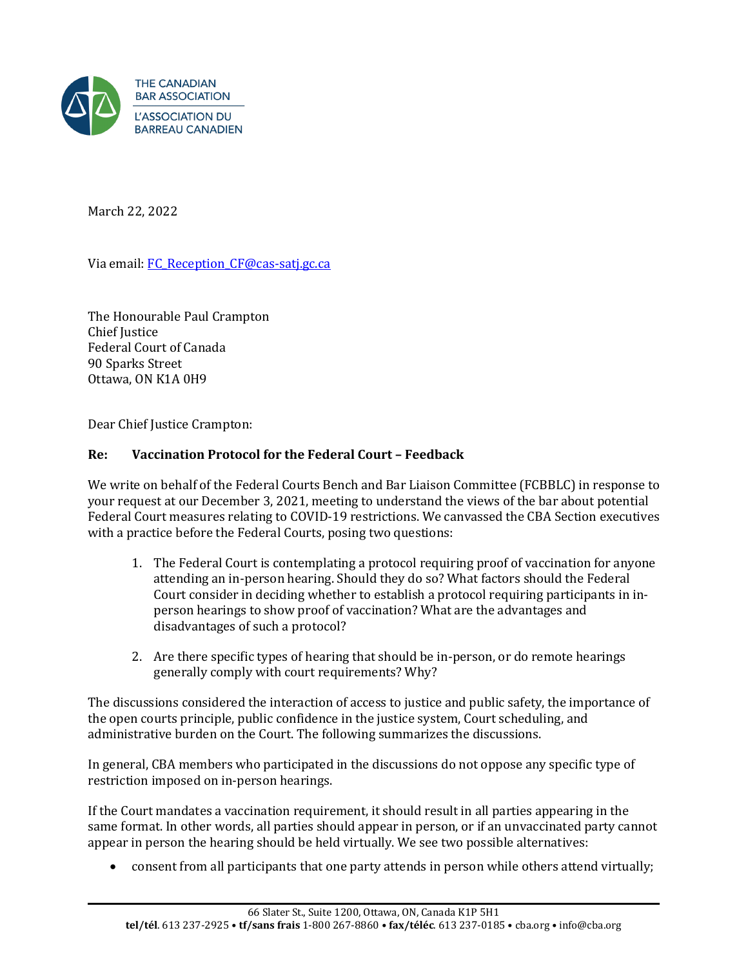

March 22, 2022

Via email: FC Reception CF@cas-satj.gc.ca

The Honourable Paul Crampton Chief Justice Federal Court of Canada 90 Sparks Street Ottawa, ON K1A 0H9

Dear Chief Justice Crampton:

## **Re: Vaccination Protocol for the Federal Court – Feedback**

We write on behalf of the Federal Courts Bench and Bar Liaison Committee (FCBBLC) in response to your request at our December 3, 2021, meeting to understand the views of the bar about potential Federal Court measures relating to COVID-19 restrictions. We canvassed the CBA Section executives with a practice before the Federal Courts, posing two questions:

- 1. The Federal Court is contemplating a protocol requiring proof of vaccination for anyone attending an in-person hearing. Should they do so? What factors should the Federal Court consider in deciding whether to establish a protocol requiring participants in inperson hearings to show proof of vaccination? What are the advantages and disadvantages of such a protocol?
- 2. Are there specific types of hearing that should be in-person, or do remote hearings generally comply with court requirements? Why?

The discussions considered the interaction of access to justice and public safety, the importance of the open courts principle, public confidence in the justice system, Court scheduling, and administrative burden on the Court. The following summarizes the discussions.

In general, CBA members who participated in the discussions do not oppose any specific type of restriction imposed on in-person hearings.

If the Court mandates a vaccination requirement, it should result in all parties appearing in the same format. In other words, all parties should appear in person, or if an unvaccinated party cannot appear in person the hearing should be held virtually. We see two possible alternatives:

• consent from all participants that one party attends in person while others attend virtually;